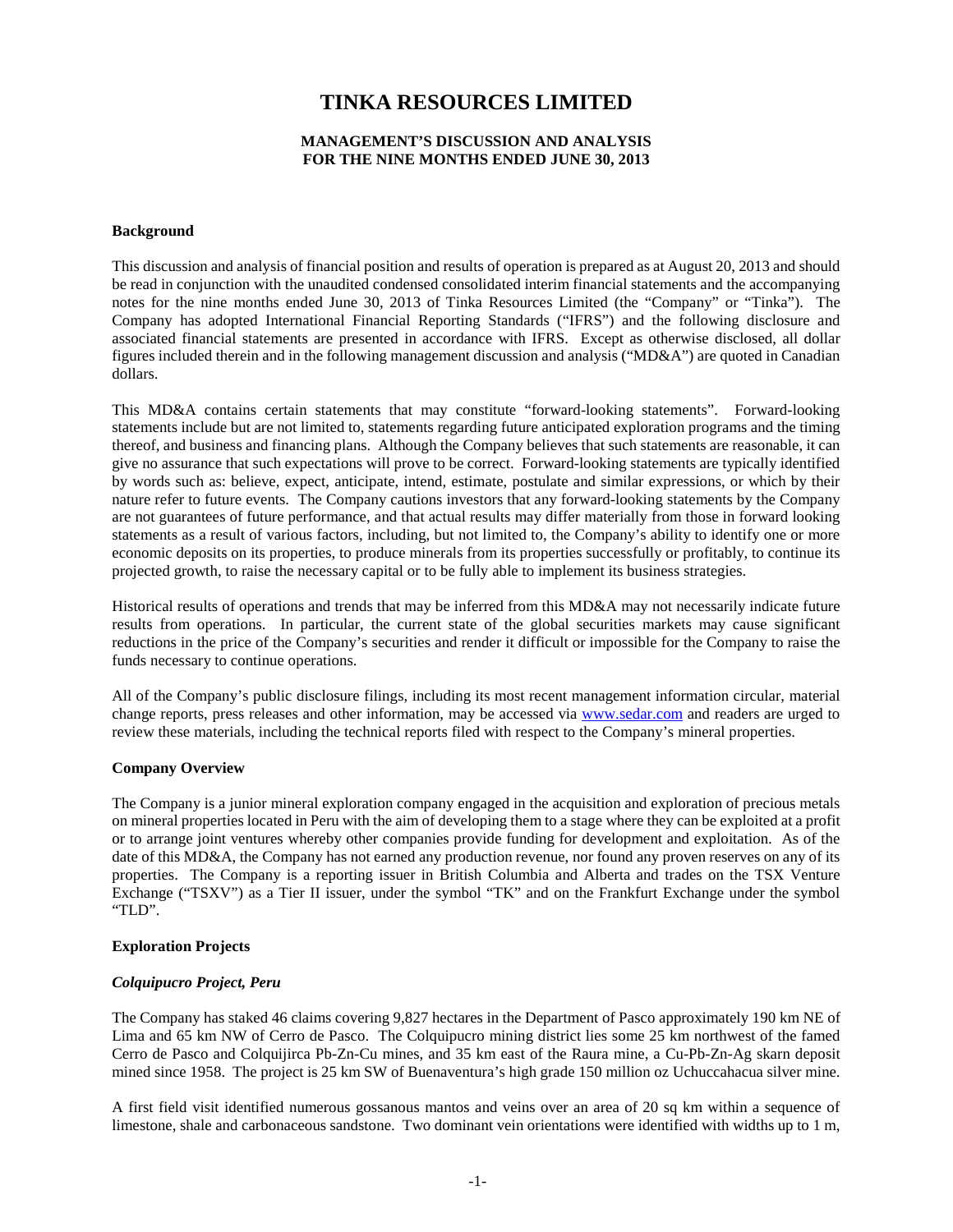# **TINKA RESOURCES LIMITED**

## **MANAGEMENT'S DISCUSSION AND ANALYSIS FOR THE NINE MONTHS ENDED JUNE 30, 2013**

## **Background**

This discussion and analysis of financial position and results of operation is prepared as at August 20, 2013 and should be read in conjunction with the unaudited condensed consolidated interim financial statements and the accompanying notes for the nine months ended June 30, 2013 of Tinka Resources Limited (the "Company" or "Tinka"). The Company has adopted International Financial Reporting Standards ("IFRS") and the following disclosure and associated financial statements are presented in accordance with IFRS. Except as otherwise disclosed, all dollar figures included therein and in the following management discussion and analysis ("MD&A") are quoted in Canadian dollars.

This MD&A contains certain statements that may constitute "forward-looking statements". Forward-looking statements include but are not limited to, statements regarding future anticipated exploration programs and the timing thereof, and business and financing plans. Although the Company believes that such statements are reasonable, it can give no assurance that such expectations will prove to be correct. Forward-looking statements are typically identified by words such as: believe, expect, anticipate, intend, estimate, postulate and similar expressions, or which by their nature refer to future events. The Company cautions investors that any forward-looking statements by the Company are not guarantees of future performance, and that actual results may differ materially from those in forward looking statements as a result of various factors, including, but not limited to, the Company's ability to identify one or more economic deposits on its properties, to produce minerals from its properties successfully or profitably, to continue its projected growth, to raise the necessary capital or to be fully able to implement its business strategies.

Historical results of operations and trends that may be inferred from this MD&A may not necessarily indicate future results from operations. In particular, the current state of the global securities markets may cause significant reductions in the price of the Company's securities and render it difficult or impossible for the Company to raise the funds necessary to continue operations.

All of the Company's public disclosure filings, including its most recent management information circular, material change reports, press releases and other information, may be accessed via [www.sedar.com](http://www.sedar.com/) and readers are urged to review these materials, including the technical reports filed with respect to the Company's mineral properties.

#### **Company Overview**

The Company is a junior mineral exploration company engaged in the acquisition and exploration of precious metals on mineral properties located in Peru with the aim of developing them to a stage where they can be exploited at a profit or to arrange joint ventures whereby other companies provide funding for development and exploitation. As of the date of this MD&A, the Company has not earned any production revenue, nor found any proven reserves on any of its properties. The Company is a reporting issuer in British Columbia and Alberta and trades on the TSX Venture Exchange ("TSXV") as a Tier II issuer, under the symbol "TK" and on the Frankfurt Exchange under the symbol "TLD".

#### **Exploration Projects**

# *Colquipucro Project, Peru*

The Company has staked 46 claims covering 9,827 hectares in the Department of Pasco approximately 190 km NE of Lima and 65 km NW of Cerro de Pasco. The Colquipucro mining district lies some 25 km northwest of the famed Cerro de Pasco and Colquijirca Pb-Zn-Cu mines, and 35 km east of the Raura mine, a Cu-Pb-Zn-Ag skarn deposit mined since 1958. The project is 25 km SW of Buenaventura's high grade 150 million oz Uchuccahacua silver mine.

A first field visit identified numerous gossanous mantos and veins over an area of 20 sq km within a sequence of limestone, shale and carbonaceous sandstone. Two dominant vein orientations were identified with widths up to 1 m,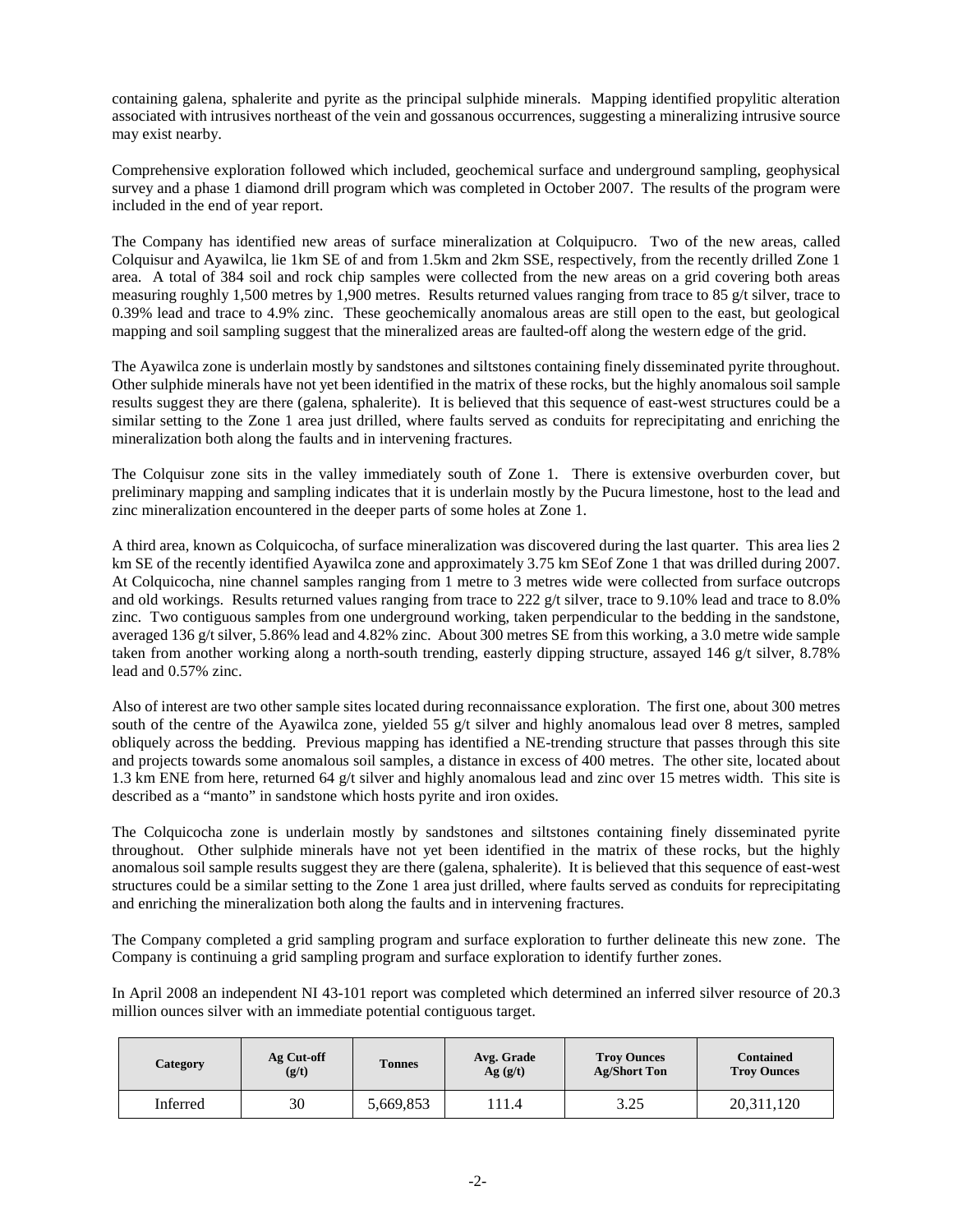containing galena, sphalerite and pyrite as the principal sulphide minerals. Mapping identified propylitic alteration associated with intrusives northeast of the vein and gossanous occurrences, suggesting a mineralizing intrusive source may exist nearby.

Comprehensive exploration followed which included, geochemical surface and underground sampling, geophysical survey and a phase 1 diamond drill program which was completed in October 2007. The results of the program were included in the end of year report.

The Company has identified new areas of surface mineralization at Colquipucro. Two of the new areas, called Colquisur and Ayawilca, lie 1km SE of and from 1.5km and 2km SSE, respectively, from the recently drilled Zone 1 area. A total of 384 soil and rock chip samples were collected from the new areas on a grid covering both areas measuring roughly 1,500 metres by 1,900 metres. Results returned values ranging from trace to 85 g/t silver, trace to 0.39% lead and trace to 4.9% zinc. These geochemically anomalous areas are still open to the east, but geological mapping and soil sampling suggest that the mineralized areas are faulted-off along the western edge of the grid.

The Ayawilca zone is underlain mostly by sandstones and siltstones containing finely disseminated pyrite throughout. Other sulphide minerals have not yet been identified in the matrix of these rocks, but the highly anomalous soil sample results suggest they are there (galena, sphalerite). It is believed that this sequence of east-west structures could be a similar setting to the Zone 1 area just drilled, where faults served as conduits for reprecipitating and enriching the mineralization both along the faults and in intervening fractures.

The Colquisur zone sits in the valley immediately south of Zone 1. There is extensive overburden cover, but preliminary mapping and sampling indicates that it is underlain mostly by the Pucura limestone, host to the lead and zinc mineralization encountered in the deeper parts of some holes at Zone 1.

A third area, known as Colquicocha, of surface mineralization was discovered during the last quarter. This area lies 2 km SE of the recently identified Ayawilca zone and approximately 3.75 km SEof Zone 1 that was drilled during 2007. At Colquicocha, nine channel samples ranging from 1 metre to 3 metres wide were collected from surface outcrops and old workings. Results returned values ranging from trace to 222 g/t silver, trace to 9.10% lead and trace to 8.0% zinc. Two contiguous samples from one underground working, taken perpendicular to the bedding in the sandstone, averaged 136 g/t silver, 5.86% lead and 4.82% zinc. About 300 metres SE from this working, a 3.0 metre wide sample taken from another working along a north-south trending, easterly dipping structure, assayed 146 g/t silver, 8.78% lead and 0.57% zinc.

Also of interest are two other sample sites located during reconnaissance exploration. The first one, about 300 metres south of the centre of the Ayawilca zone, yielded 55 g/t silver and highly anomalous lead over 8 metres, sampled obliquely across the bedding. Previous mapping has identified a NE-trending structure that passes through this site and projects towards some anomalous soil samples, a distance in excess of 400 metres. The other site, located about 1.3 km ENE from here, returned 64 g/t silver and highly anomalous lead and zinc over 15 metres width. This site is described as a "manto" in sandstone which hosts pyrite and iron oxides.

The Colquicocha zone is underlain mostly by sandstones and siltstones containing finely disseminated pyrite throughout. Other sulphide minerals have not yet been identified in the matrix of these rocks, but the highly anomalous soil sample results suggest they are there (galena, sphalerite). It is believed that this sequence of east-west structures could be a similar setting to the Zone 1 area just drilled, where faults served as conduits for reprecipitating and enriching the mineralization both along the faults and in intervening fractures.

The Company completed a grid sampling program and surface exploration to further delineate this new zone. The Company is continuing a grid sampling program and surface exploration to identify further zones.

In April 2008 an independent NI 43-101 report was completed which determined an inferred silver resource of 20.3 million ounces silver with an immediate potential contiguous target.

| Category | Ag Cut-off<br>(g/t) | <b>Tonnes</b> | Avg. Grade<br>Ag(g/t) | <b>Troy Ounces</b><br><b>Ag/Short Ton</b> | <b>Contained</b><br><b>Troy Ounces</b> |
|----------|---------------------|---------------|-----------------------|-------------------------------------------|----------------------------------------|
| Inferred | 30                  | 5,669,853     | 111.4                 | 3.25                                      | 20,311,120                             |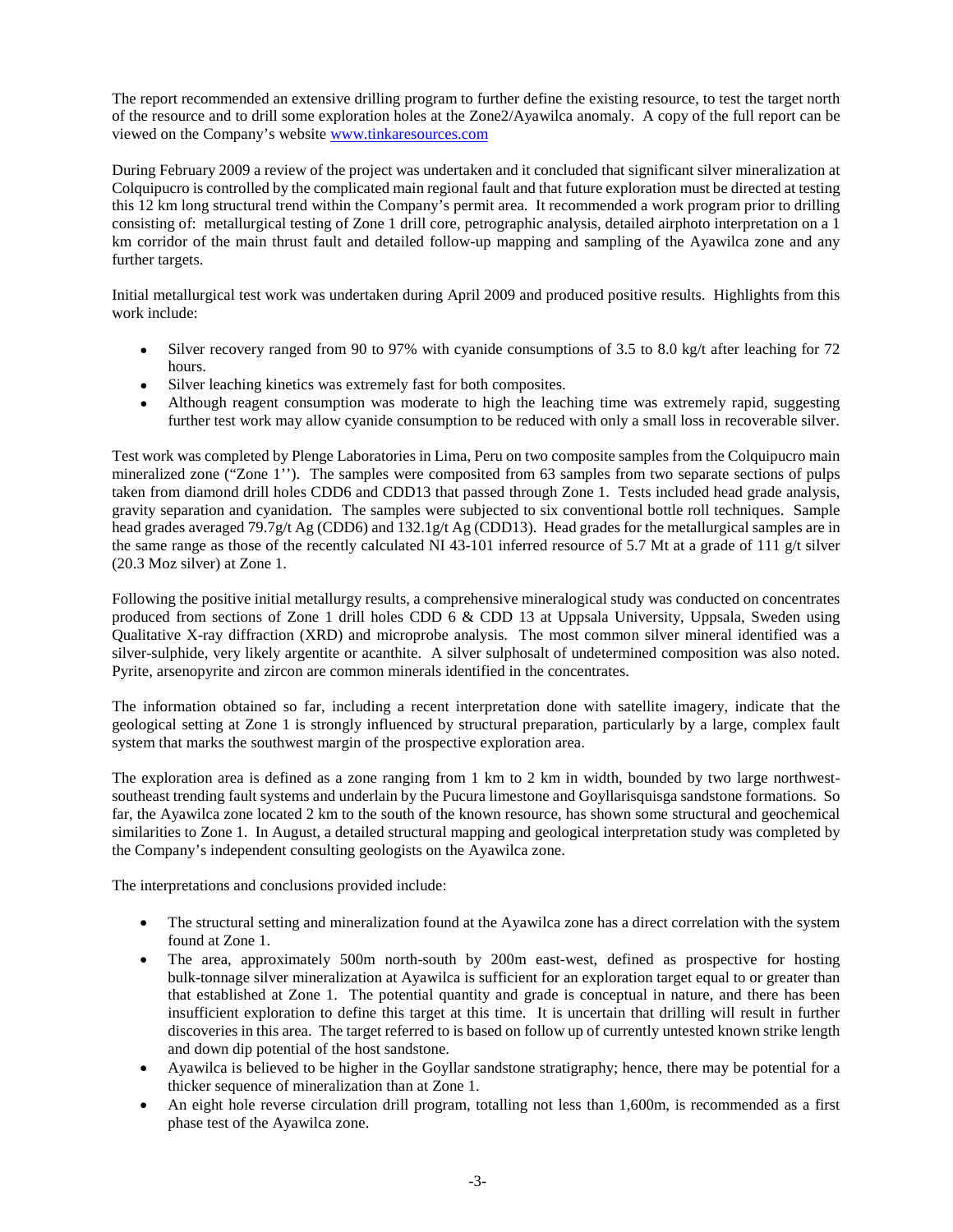The report recommended an extensive drilling program to further define the existing resource, to test the target north of the resource and to drill some exploration holes at the Zone2/Ayawilca anomaly. A copy of the full report can be viewed on the Company's website [www.tinkaresources.com](http://www.tinkaresources.com/) 

During February 2009 a review of the project was undertaken and it concluded that significant silver mineralization at Colquipucro is controlled by the complicated main regional fault and that future exploration must be directed at testing this 12 km long structural trend within the Company's permit area. It recommended a work program prior to drilling consisting of: metallurgical testing of Zone 1 drill core, petrographic analysis, detailed airphoto interpretation on a 1 km corridor of the main thrust fault and detailed follow-up mapping and sampling of the Ayawilca zone and any further targets.

Initial metallurgical test work was undertaken during April 2009 and produced positive results. Highlights from this work include:

- Silver recovery ranged from 90 to 97% with cyanide consumptions of 3.5 to 8.0 kg/t after leaching for 72 hours.
- Silver leaching kinetics was extremely fast for both composites.
- Although reagent consumption was moderate to high the leaching time was extremely rapid, suggesting further test work may allow cyanide consumption to be reduced with only a small loss in recoverable silver.

Test work was completed by Plenge Laboratories in Lima, Peru on two composite samples from the Colquipucro main mineralized zone ("Zone 1''). The samples were composited from 63 samples from two separate sections of pulps taken from diamond drill holes CDD6 and CDD13 that passed through Zone 1. Tests included head grade analysis, gravity separation and cyanidation. The samples were subjected to six conventional bottle roll techniques. Sample head grades averaged 79.7g/t Ag (CDD6) and 132.1g/t Ag (CDD13). Head grades for the metallurgical samples are in the same range as those of the recently calculated NI 43-101 inferred resource of 5.7 Mt at a grade of 111  $g/t$  silver (20.3 Moz silver) at Zone 1.

Following the positive initial metallurgy results, a comprehensive mineralogical study was conducted on concentrates produced from sections of Zone 1 drill holes CDD 6 & CDD 13 at Uppsala University, Uppsala, Sweden using Qualitative X-ray diffraction (XRD) and microprobe analysis. The most common silver mineral identified was a silver-sulphide, very likely argentite or acanthite. A silver sulphosalt of undetermined composition was also noted. Pyrite, arsenopyrite and zircon are common minerals identified in the concentrates.

The information obtained so far, including a recent interpretation done with satellite imagery, indicate that the geological setting at Zone 1 is strongly influenced by structural preparation, particularly by a large, complex fault system that marks the southwest margin of the prospective exploration area.

The exploration area is defined as a zone ranging from 1 km to 2 km in width, bounded by two large northwestsoutheast trending fault systems and underlain by the Pucura limestone and Goyllarisquisga sandstone formations. So far, the Ayawilca zone located 2 km to the south of the known resource, has shown some structural and geochemical similarities to Zone 1. In August, a detailed structural mapping and geological interpretation study was completed by the Company's independent consulting geologists on the Ayawilca zone.

The interpretations and conclusions provided include:

- The structural setting and mineralization found at the Ayawilca zone has a direct correlation with the system found at Zone 1.
- The area, approximately 500m north-south by 200m east-west, defined as prospective for hosting bulk-tonnage silver mineralization at Ayawilca is sufficient for an exploration target equal to or greater than that established at Zone 1. The potential quantity and grade is conceptual in nature, and there has been insufficient exploration to define this target at this time. It is uncertain that drilling will result in further discoveries in this area. The target referred to is based on follow up of currently untested known strike length and down dip potential of the host sandstone.
- Ayawilca is believed to be higher in the Goyllar sandstone stratigraphy; hence, there may be potential for a thicker sequence of mineralization than at Zone 1.
- An eight hole reverse circulation drill program, totalling not less than 1,600m, is recommended as a first phase test of the Ayawilca zone.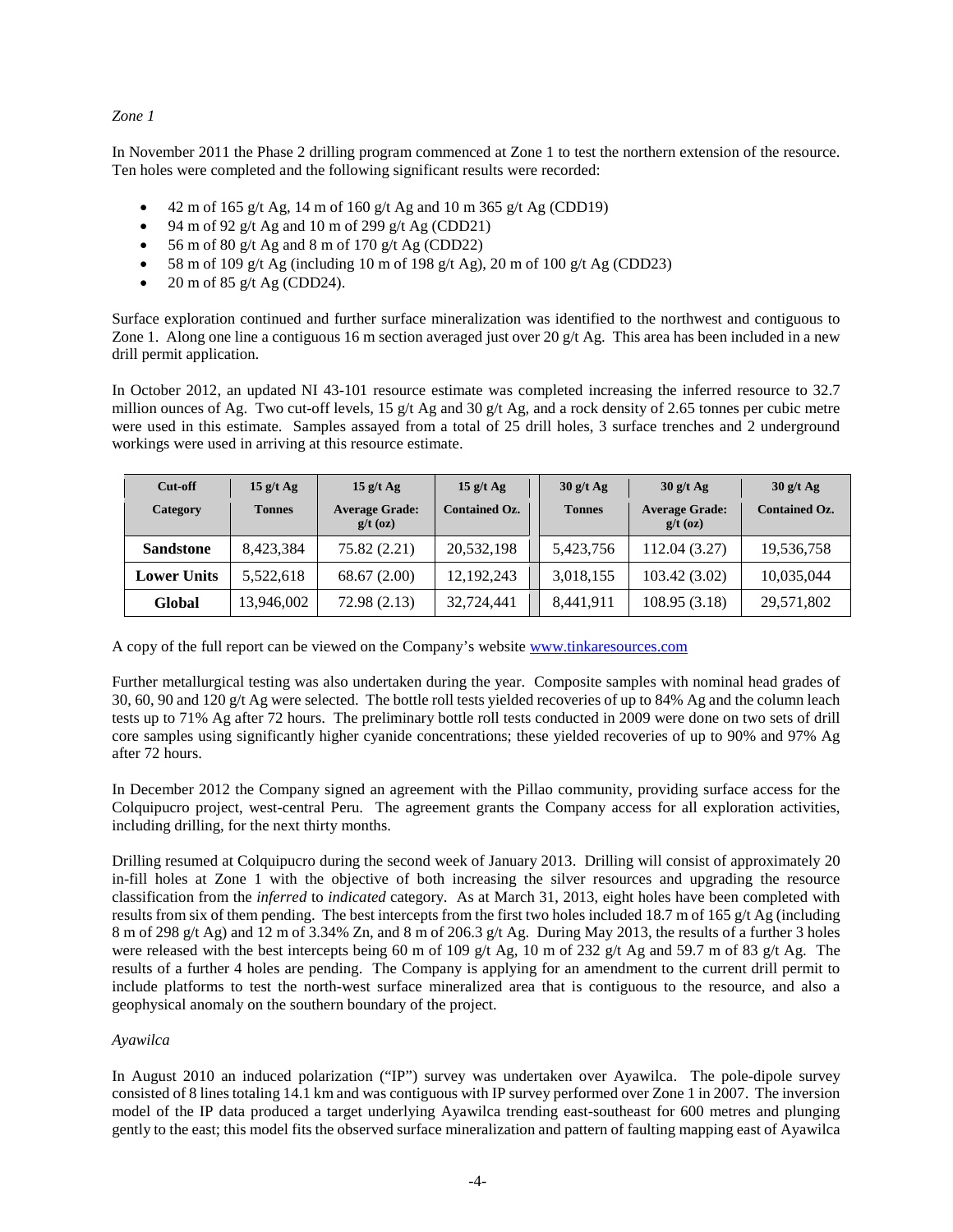## *Zone 1*

In November 2011 the Phase 2 drilling program commenced at Zone 1 to test the northern extension of the resource. Ten holes were completed and the following significant results were recorded:

- 42 m of 165 g/t Ag, 14 m of 160 g/t Ag and 10 m 365 g/t Ag (CDD19)
- 94 m of 92 g/t Ag and 10 m of 299 g/t Ag (CDD21)
- 56 m of 80 g/t Ag and 8 m of 170 g/t Ag (CDD22)
- 58 m of 109 g/t Ag (including 10 m of 198 g/t Ag), 20 m of 100 g/t Ag (CDD23)
- 20 m of 85 g/t Ag (CDD24).

Surface exploration continued and further surface mineralization was identified to the northwest and contiguous to Zone 1. Along one line a contiguous 16 m section averaged just over 20  $g/t$  Ag. This area has been included in a new drill permit application.

In October 2012, an updated NI 43-101 resource estimate was completed increasing the inferred resource to 32.7 million ounces of Ag. Two cut-off levels, 15 g/t Ag and 30 g/t Ag, and a rock density of 2.65 tonnes per cubic metre were used in this estimate. Samples assayed from a total of 25 drill holes, 3 surface trenches and 2 underground workings were used in arriving at this resource estimate.

| Cut-off            | 15 g/t Ag     | $15 \frac{\text{g}}{\text{t} \text{Ag}}$ | $15 \frac{\text{g}}{\text{t}}$ Ag | $30$ g/t Ag   | $30$ g/t Ag                         | $30$ g/t Ag          |
|--------------------|---------------|------------------------------------------|-----------------------------------|---------------|-------------------------------------|----------------------|
| Category           | <b>Tonnes</b> | <b>Average Grade:</b><br>$g/t$ (oz)      | <b>Contained Oz.</b>              | <b>Tonnes</b> | <b>Average Grade:</b><br>$g/t$ (oz) | <b>Contained Oz.</b> |
| <b>Sandstone</b>   | 8,423,384     | 75.82 (2.21)                             | 20,532,198                        | 5,423,756     | 112.04 (3.27)                       | 19,536,758           |
| <b>Lower Units</b> | 5,522,618     | 68.67(2.00)                              | 12, 192, 243                      | 3,018,155     | 103.42 (3.02)                       | 10,035,044           |
| Global             | 13,946,002    | 72.98 (2.13)                             | 32,724,441                        | 8,441,911     | 108.95(3.18)                        | 29,571,802           |

A copy of the full report can be viewed on the Company's website [www.tinkaresources.com](http://www.tinkaresources.com/) 

Further metallurgical testing was also undertaken during the year. Composite samples with nominal head grades of 30, 60, 90 and 120 g/t Ag were selected. The bottle roll tests yielded recoveries of up to 84% Ag and the column leach tests up to 71% Ag after 72 hours. The preliminary bottle roll tests conducted in 2009 were done on two sets of drill core samples using significantly higher cyanide concentrations; these yielded recoveries of up to 90% and 97% Ag after 72 hours.

In December 2012 the Company signed an agreement with the Pillao community, providing surface access for the Colquipucro project, west-central Peru. The agreement grants the Company access for all exploration activities, including drilling, for the next thirty months.

Drilling resumed at Colquipucro during the second week of January 2013. Drilling will consist of approximately 20 in-fill holes at Zone 1 with the objective of both increasing the silver resources and upgrading the resource classification from the *inferred* to *indicated* category. As at March 31, 2013, eight holes have been completed with results from six of them pending. The best intercepts from the first two holes included 18.7 m of 165 g/t Ag (including 8 m of 298 g/t Ag) and 12 m of 3.34% Zn, and 8 m of 206.3 g/t Ag. During May 2013, the results of a further 3 holes were released with the best intercepts being 60 m of 109 g/t Ag, 10 m of 232 g/t Ag and 59.7 m of 83 g/t Ag. The results of a further 4 holes are pending. The Company is applying for an amendment to the current drill permit to include platforms to test the north-west surface mineralized area that is contiguous to the resource, and also a geophysical anomaly on the southern boundary of the project.

# *Ayawilca*

In August 2010 an induced polarization ("IP") survey was undertaken over Ayawilca. The pole-dipole survey consisted of 8 lines totaling 14.1 km and was contiguous with IP survey performed over Zone 1 in 2007. The inversion model of the IP data produced a target underlying Ayawilca trending east-southeast for 600 metres and plunging gently to the east; this model fits the observed surface mineralization and pattern of faulting mapping east of Ayawilca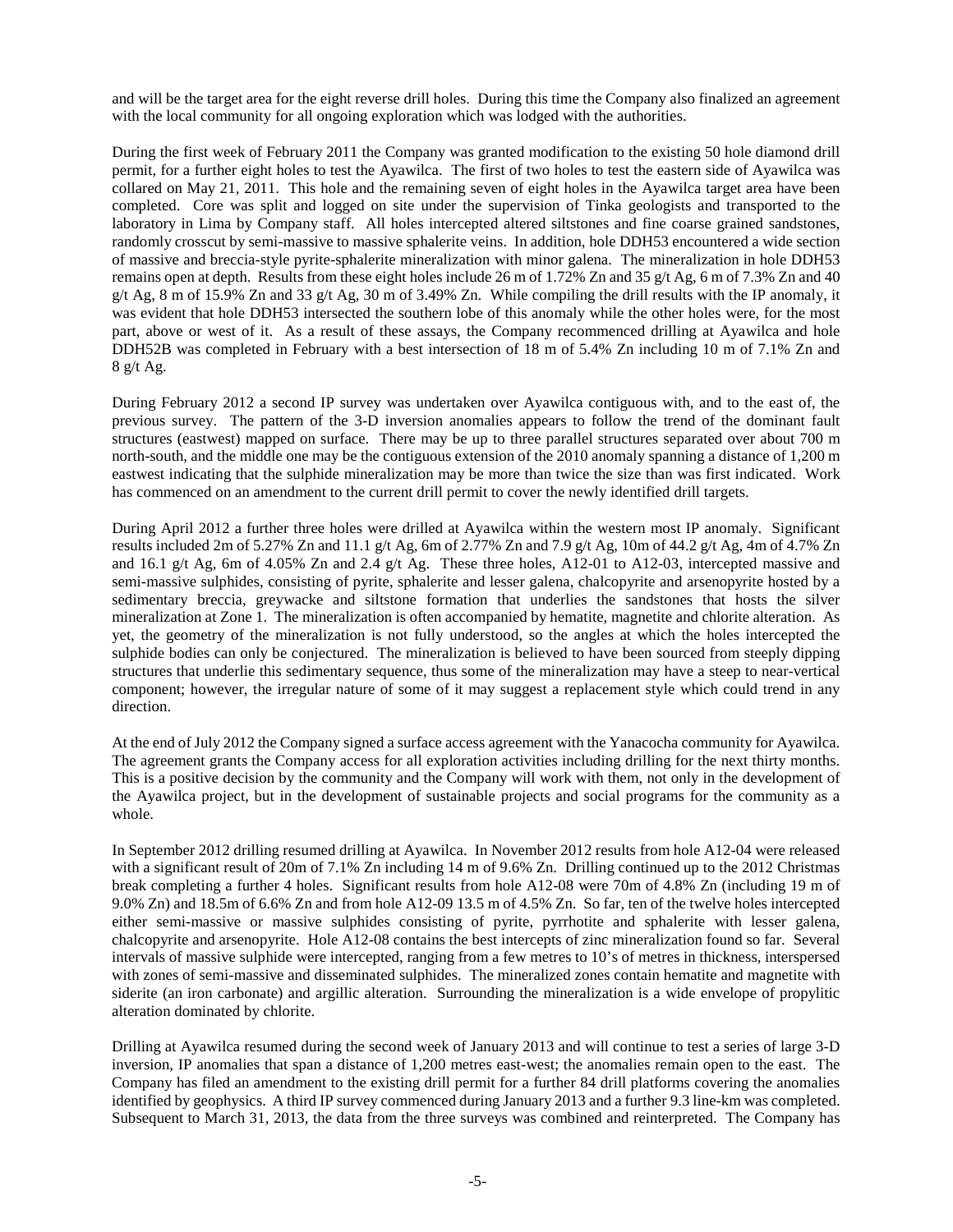and will be the target area for the eight reverse drill holes. During this time the Company also finalized an agreement with the local community for all ongoing exploration which was lodged with the authorities.

During the first week of February 2011 the Company was granted modification to the existing 50 hole diamond drill permit, for a further eight holes to test the Ayawilca. The first of two holes to test the eastern side of Ayawilca was collared on May 21, 2011. This hole and the remaining seven of eight holes in the Ayawilca target area have been completed. Core was split and logged on site under the supervision of Tinka geologists and transported to the laboratory in Lima by Company staff. All holes intercepted altered siltstones and fine coarse grained sandstones, randomly crosscut by semi-massive to massive sphalerite veins. In addition, hole DDH53 encountered a wide section of massive and breccia-style pyrite-sphalerite mineralization with minor galena. The mineralization in hole DDH53 remains open at depth. Results from these eight holes include 26 m of 1.72% Zn and 35 g/t Ag, 6 m of 7.3% Zn and 40 g/t Ag, 8 m of 15.9% Zn and 33 g/t Ag, 30 m of 3.49% Zn. While compiling the drill results with the IP anomaly, it was evident that hole DDH53 intersected the southern lobe of this anomaly while the other holes were, for the most part, above or west of it. As a result of these assays, the Company recommenced drilling at Ayawilca and hole DDH52B was completed in February with a best intersection of 18 m of 5.4% Zn including 10 m of 7.1% Zn and 8 g/t Ag.

During February 2012 a second IP survey was undertaken over Ayawilca contiguous with, and to the east of, the previous survey. The pattern of the 3-D inversion anomalies appears to follow the trend of the dominant fault structures (eastwest) mapped on surface. There may be up to three parallel structures separated over about 700 m north-south, and the middle one may be the contiguous extension of the 2010 anomaly spanning a distance of 1,200 m eastwest indicating that the sulphide mineralization may be more than twice the size than was first indicated. Work has commenced on an amendment to the current drill permit to cover the newly identified drill targets.

During April 2012 a further three holes were drilled at Ayawilca within the western most IP anomaly. Significant results included 2m of 5.27% Zn and 11.1 g/t Ag, 6m of 2.77% Zn and 7.9 g/t Ag, 10m of 44.2 g/t Ag, 4m of 4.7% Zn and 16.1 g/t Ag, 6m of 4.05% Zn and 2.4 g/t Ag. These three holes, A12-01 to A12-03, intercepted massive and semi-massive sulphides, consisting of pyrite, sphalerite and lesser galena, chalcopyrite and arsenopyrite hosted by a sedimentary breccia, greywacke and siltstone formation that underlies the sandstones that hosts the silver mineralization at Zone 1. The mineralization is often accompanied by hematite, magnetite and chlorite alteration. As yet, the geometry of the mineralization is not fully understood, so the angles at which the holes intercepted the sulphide bodies can only be conjectured. The mineralization is believed to have been sourced from steeply dipping structures that underlie this sedimentary sequence, thus some of the mineralization may have a steep to near-vertical component; however, the irregular nature of some of it may suggest a replacement style which could trend in any direction.

At the end of July 2012 the Company signed a surface access agreement with the Yanacocha community for Ayawilca. The agreement grants the Company access for all exploration activities including drilling for the next thirty months. This is a positive decision by the community and the Company will work with them, not only in the development of the Ayawilca project, but in the development of sustainable projects and social programs for the community as a whole.

In September 2012 drilling resumed drilling at Ayawilca. In November 2012 results from hole A12-04 were released with a significant result of 20m of 7.1% Zn including 14 m of 9.6% Zn. Drilling continued up to the 2012 Christmas break completing a further 4 holes. Significant results from hole A12-08 were 70m of 4.8% Zn (including 19 m of 9.0% Zn) and 18.5m of 6.6% Zn and from hole A12-09 13.5 m of 4.5% Zn. So far, ten of the twelve holes intercepted either semi-massive or massive sulphides consisting of pyrite, pyrrhotite and sphalerite with lesser galena, chalcopyrite and arsenopyrite. Hole A12-08 contains the best intercepts of zinc mineralization found so far. Several intervals of massive sulphide were intercepted, ranging from a few metres to 10's of metres in thickness, interspersed with zones of semi-massive and disseminated sulphides. The mineralized zones contain hematite and magnetite with siderite (an iron carbonate) and argillic alteration. Surrounding the mineralization is a wide envelope of propylitic alteration dominated by chlorite.

Drilling at Ayawilca resumed during the second week of January 2013 and will continue to test a series of large 3-D inversion, IP anomalies that span a distance of 1,200 metres east-west; the anomalies remain open to the east. The Company has filed an amendment to the existing drill permit for a further 84 drill platforms covering the anomalies identified by geophysics. A third IP survey commenced during January 2013 and a further 9.3 line-km was completed. Subsequent to March 31, 2013, the data from the three surveys was combined and reinterpreted. The Company has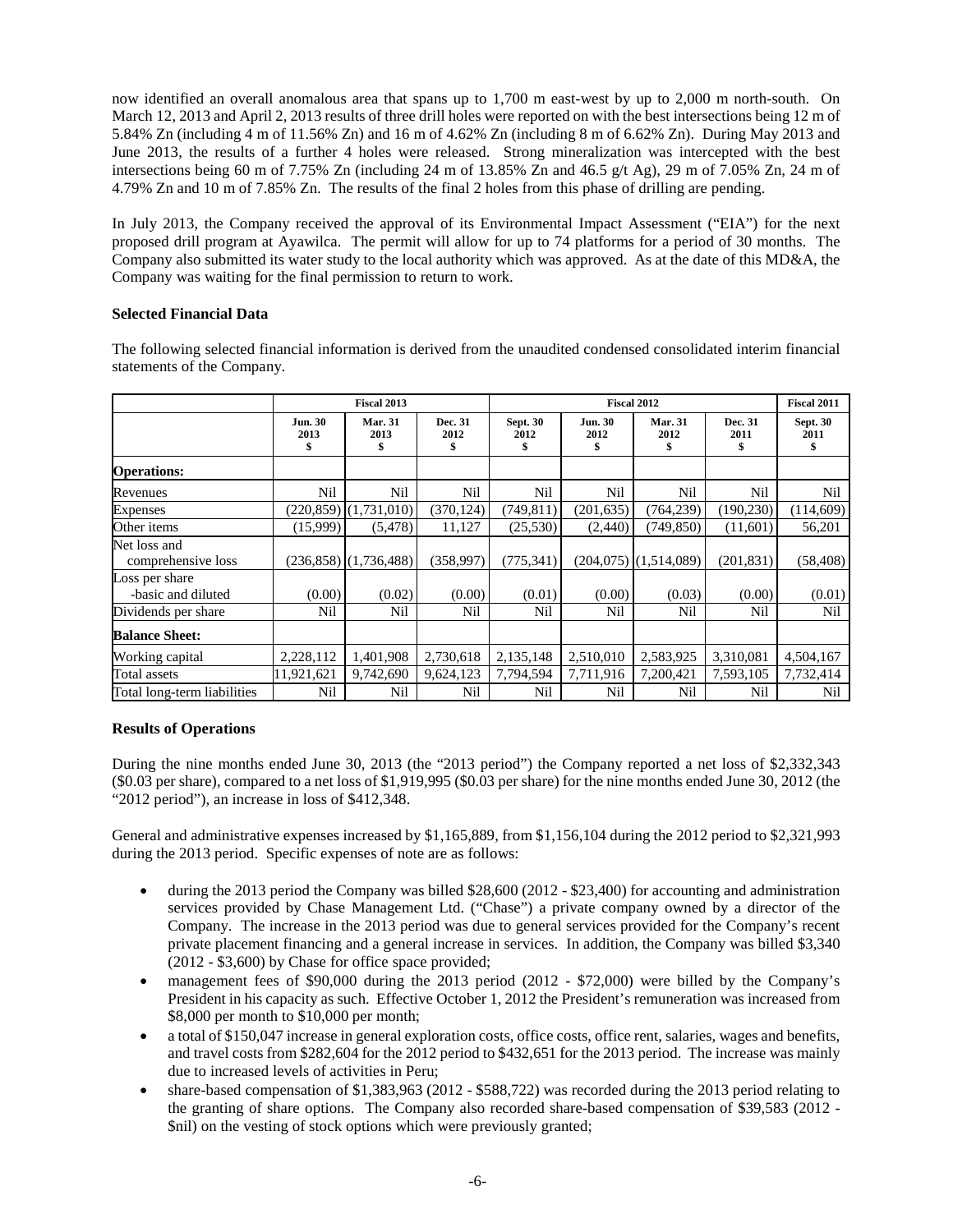now identified an overall anomalous area that spans up to 1,700 m east-west by up to 2,000 m north-south. On March 12, 2013 and April 2, 2013 results of three drill holes were reported on with the best intersections being 12 m of 5.84% Zn (including 4 m of 11.56% Zn) and 16 m of 4.62% Zn (including 8 m of 6.62% Zn). During May 2013 and June 2013, the results of a further 4 holes were released. Strong mineralization was intercepted with the best intersections being 60 m of 7.75% Zn (including 24 m of 13.85% Zn and 46.5 g/t Ag), 29 m of 7.05% Zn, 24 m of 4.79% Zn and 10 m of 7.85% Zn. The results of the final 2 holes from this phase of drilling are pending.

In July 2013, the Company received the approval of its Environmental Impact Assessment ("EIA") for the next proposed drill program at Ayawilca. The permit will allow for up to 74 platforms for a period of 30 months. The Company also submitted its water study to the local authority which was approved. As at the date of this MD&A, the Company was waiting for the final permission to return to work.

# **Selected Financial Data**

|                                      | Fiscal 2013                  |                              |                      | <b>Fiscal 2012</b>            |                              |                             |                       | <b>Fiscal 2011</b>            |
|--------------------------------------|------------------------------|------------------------------|----------------------|-------------------------------|------------------------------|-----------------------------|-----------------------|-------------------------------|
|                                      | <b>Jun. 30</b><br>2013<br>\$ | <b>Mar. 31</b><br>2013<br>\$ | Dec. 31<br>2012<br>S | <b>Sept. 30</b><br>2012<br>\$ | <b>Jun. 30</b><br>2012<br>\$ | <b>Mar. 31</b><br>2012<br>ъ | Dec. 31<br>2011<br>\$ | <b>Sept. 30</b><br>2011<br>\$ |
| <b>Operations:</b>                   |                              |                              |                      |                               |                              |                             |                       |                               |
| Revenues                             | Nil                          | Nil                          | Nil                  | Nil                           | Nil                          | Nil                         | Nil                   | Nil                           |
| <b>Expenses</b>                      |                              | $(220,859)$ $(1,731,010)$    | (370, 124)           | (749, 811)                    | (201, 635)                   | (764, 239)                  | (190, 230)            | (114,609)                     |
| Other items                          | (15,999)                     | (5, 478)                     | 11,127               | (25,530)                      | (2,440)                      | (749, 850)                  | (11,601)              | 56,201                        |
| Net loss and<br>comprehensive loss   |                              | $(236,858)$ $(1,736,488)$    | (358, 997)           | (775, 341)                    |                              | $(204,075)$ $(1,514,089)$   | (201, 831)            | (58, 408)                     |
| Loss per share<br>-basic and diluted | (0.00)                       | (0.02)                       | (0.00)               | (0.01)                        | (0.00)                       | (0.03)                      | (0.00)                | (0.01)                        |
| Dividends per share                  | Nil                          | Nil                          | Nil                  | Nil                           | Nil                          | Nil                         | Nil                   | Nil                           |
| <b>Balance Sheet:</b>                |                              |                              |                      |                               |                              |                             |                       |                               |
| Working capital                      | 2,228,112                    | 1,401,908                    | 2,730,618            | 2,135,148                     | 2,510,010                    | 2,583,925                   | 3,310,081             | 4,504,167                     |
| Total assets                         | 11,921,621                   | 9,742,690                    | 9,624,123            | 7,794,594                     | 7,711,916                    | 7,200,421                   | 7,593,105             | 7,732,414                     |
| Total long-term liabilities          | Nil                          | Nil                          | Nil                  | Nil                           | Nil                          | Nil                         | Nil                   | Nil                           |

The following selected financial information is derived from the unaudited condensed consolidated interim financial statements of the Company.

# **Results of Operations**

During the nine months ended June 30, 2013 (the "2013 period") the Company reported a net loss of \$2,332,343 (\$0.03 per share), compared to a net loss of \$1,919,995 (\$0.03 per share) for the nine months ended June 30, 2012 (the "2012 period"), an increase in loss of \$412,348.

General and administrative expenses increased by \$1,165,889, from \$1,156,104 during the 2012 period to \$2,321,993 during the 2013 period. Specific expenses of note are as follows:

- during the 2013 period the Company was billed \$28,600 (2012 \$23,400) for accounting and administration services provided by Chase Management Ltd. ("Chase") a private company owned by a director of the Company. The increase in the 2013 period was due to general services provided for the Company's recent private placement financing and a general increase in services. In addition, the Company was billed \$3,340 (2012 - \$3,600) by Chase for office space provided;
- management fees of \$90,000 during the 2013 period (2012 \$72,000) were billed by the Company's President in his capacity as such. Effective October 1, 2012 the President's remuneration was increased from \$8,000 per month to \$10,000 per month;
- a total of \$150,047 increase in general exploration costs, office costs, office rent, salaries, wages and benefits, and travel costs from \$282,604 for the 2012 period to \$432,651 for the 2013 period. The increase was mainly due to increased levels of activities in Peru;
- share-based compensation of \$1,383,963 (2012 \$588,722) was recorded during the 2013 period relating to the granting of share options. The Company also recorded share-based compensation of \$39,583 (2012 - \$nil) on the vesting of stock options which were previously granted;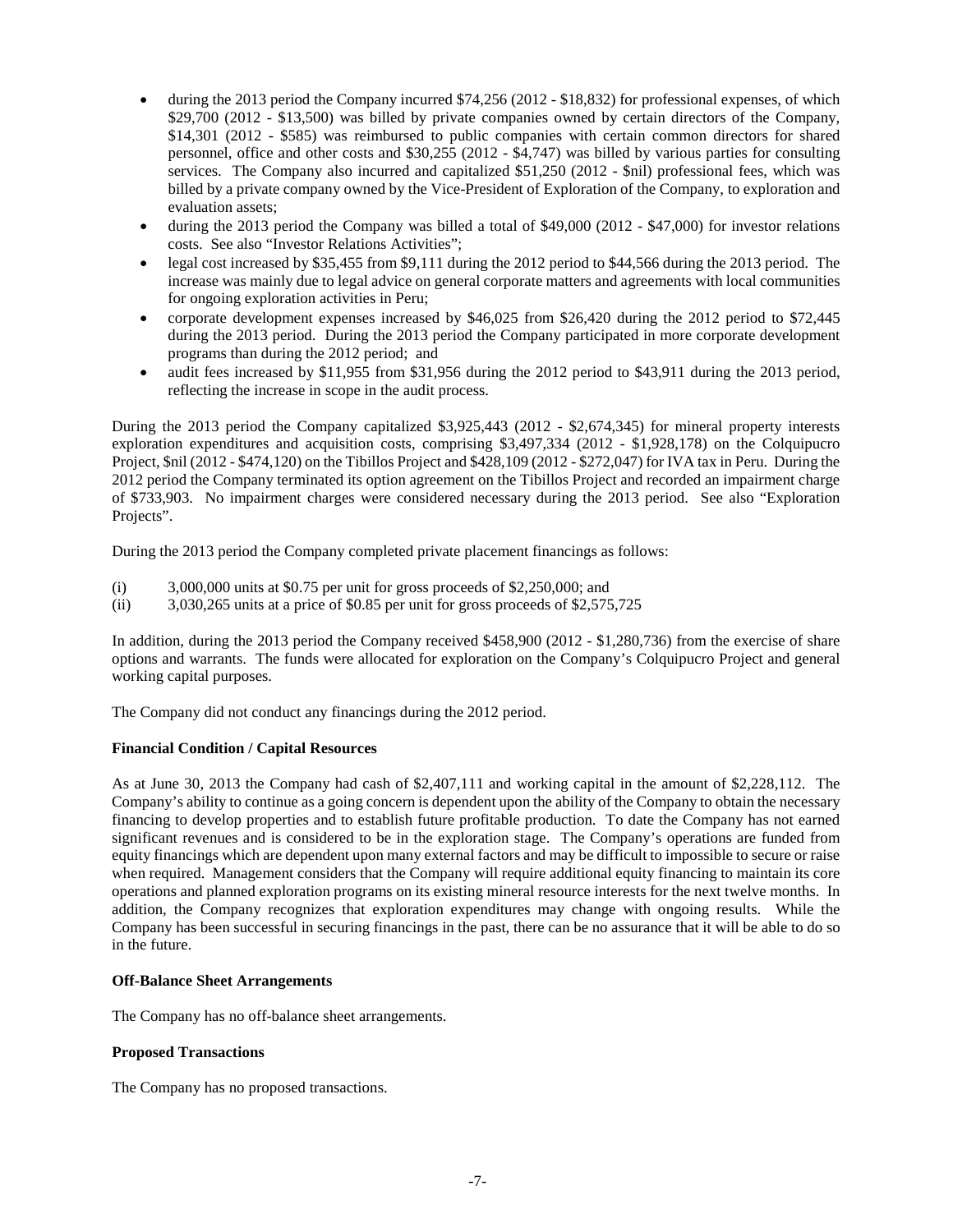- during the 2013 period the Company incurred \$74,256 (2012 \$18,832) for professional expenses, of which \$29,700 (2012 - \$13,500) was billed by private companies owned by certain directors of the Company, \$14,301 (2012 - \$585) was reimbursed to public companies with certain common directors for shared personnel, office and other costs and \$30,255 (2012 - \$4,747) was billed by various parties for consulting services. The Company also incurred and capitalized \$51,250 (2012 - \$nil) professional fees, which was billed by a private company owned by the Vice-President of Exploration of the Company, to exploration and evaluation assets;
- during the 2013 period the Company was billed a total of \$49,000 (2012 \$47,000) for investor relations costs. See also "Investor Relations Activities";
- legal cost increased by \$35,455 from \$9,111 during the 2012 period to \$44,566 during the 2013 period. The increase was mainly due to legal advice on general corporate matters and agreements with local communities for ongoing exploration activities in Peru;
- corporate development expenses increased by \$46,025 from \$26,420 during the 2012 period to \$72,445 during the 2013 period. During the 2013 period the Company participated in more corporate development programs than during the 2012 period; and
- audit fees increased by \$11,955 from \$31,956 during the 2012 period to \$43,911 during the 2013 period, reflecting the increase in scope in the audit process.

During the 2013 period the Company capitalized \$3,925,443 (2012 - \$2,674,345) for mineral property interests exploration expenditures and acquisition costs, comprising \$3,497,334 (2012 - \$1,928,178) on the Colquipucro Project, \$nil (2012 - \$474,120) on the Tibillos Project and \$428,109 (2012 - \$272,047) for IVA tax in Peru. During the 2012 period the Company terminated its option agreement on the Tibillos Project and recorded an impairment charge of \$733,903. No impairment charges were considered necessary during the 2013 period. See also "Exploration Projects".

During the 2013 period the Company completed private placement financings as follows:

- (i) 3,000,000 units at \$0.75 per unit for gross proceeds of \$2,250,000; and
- (ii) 3,030,265 units at a price of \$0.85 per unit for gross proceeds of \$2,575,725

In addition, during the 2013 period the Company received \$458,900 (2012 - \$1,280,736) from the exercise of share options and warrants. The funds were allocated for exploration on the Company's Colquipucro Project and general working capital purposes.

The Company did not conduct any financings during the 2012 period.

#### **Financial Condition / Capital Resources**

As at June 30, 2013 the Company had cash of \$2,407,111 and working capital in the amount of \$2,228,112. The Company's ability to continue as a going concern is dependent upon the ability of the Company to obtain the necessary financing to develop properties and to establish future profitable production. To date the Company has not earned significant revenues and is considered to be in the exploration stage. The Company's operations are funded from equity financings which are dependent upon many external factors and may be difficult to impossible to secure or raise when required. Management considers that the Company will require additional equity financing to maintain its core operations and planned exploration programs on its existing mineral resource interests for the next twelve months. In addition, the Company recognizes that exploration expenditures may change with ongoing results. While the Company has been successful in securing financings in the past, there can be no assurance that it will be able to do so in the future.

#### **Off-Balance Sheet Arrangements**

The Company has no off-balance sheet arrangements.

#### **Proposed Transactions**

The Company has no proposed transactions.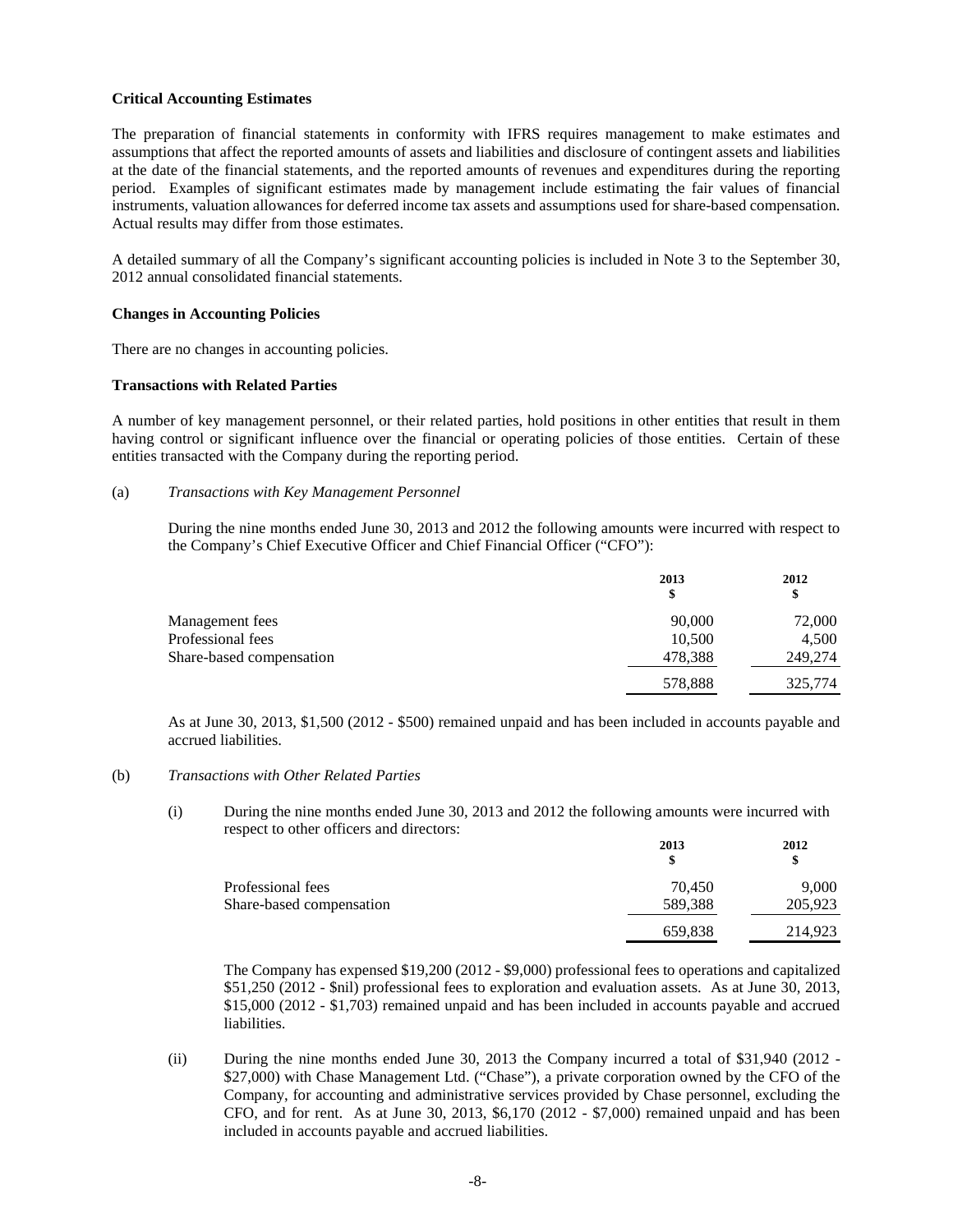#### **Critical Accounting Estimates**

The preparation of financial statements in conformity with IFRS requires management to make estimates and assumptions that affect the reported amounts of assets and liabilities and disclosure of contingent assets and liabilities at the date of the financial statements, and the reported amounts of revenues and expenditures during the reporting period. Examples of significant estimates made by management include estimating the fair values of financial instruments, valuation allowances for deferred income tax assets and assumptions used for share-based compensation. Actual results may differ from those estimates.

A detailed summary of all the Company's significant accounting policies is included in Note 3 to the September 30, 2012 annual consolidated financial statements.

#### **Changes in Accounting Policies**

There are no changes in accounting policies.

## **Transactions with Related Parties**

A number of key management personnel, or their related parties, hold positions in other entities that result in them having control or significant influence over the financial or operating policies of those entities. Certain of these entities transacted with the Company during the reporting period.

#### (a) *Transactions with Key Management Personnel*

During the nine months ended June 30, 2013 and 2012 the following amounts were incurred with respect to the Company's Chief Executive Officer and Chief Financial Officer ("CFO"):

|                          | 2013<br>\$ | 2012<br>\$ |
|--------------------------|------------|------------|
| Management fees          | 90,000     | 72,000     |
| Professional fees        | 10,500     | 4,500      |
| Share-based compensation | 478,388    | 249,274    |
|                          | 578,888    | 325,774    |

As at June 30, 2013, \$1,500 (2012 - \$500) remained unpaid and has been included in accounts payable and accrued liabilities.

#### (b) *Transactions with Other Related Parties*

(i) During the nine months ended June 30, 2013 and 2012 the following amounts were incurred with respect to other officers and directors:

|                          | 2013<br>S | 2012<br>S |
|--------------------------|-----------|-----------|
| Professional fees        | 70.450    | 9.000     |
| Share-based compensation | 589,388   | 205,923   |
|                          | 659,838   | 214,923   |

The Company has expensed \$19,200 (2012 - \$9,000) professional fees to operations and capitalized \$51,250 (2012 - \$nil) professional fees to exploration and evaluation assets. As at June 30, 2013, \$15,000 (2012 - \$1,703) remained unpaid and has been included in accounts payable and accrued liabilities.

(ii) During the nine months ended June 30, 2013 the Company incurred a total of \$31,940 (2012 - \$27,000) with Chase Management Ltd. ("Chase"), a private corporation owned by the CFO of the Company, for accounting and administrative services provided by Chase personnel, excluding the CFO, and for rent. As at June 30, 2013, \$6,170 (2012 - \$7,000) remained unpaid and has been included in accounts payable and accrued liabilities.